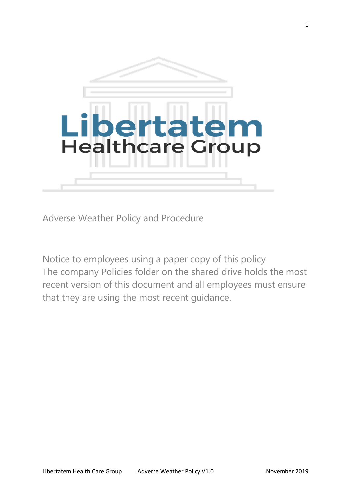

Adverse Weather Policy and Procedure

Notice to employees using a paper copy of this policy The company Policies folder on the shared drive holds the most recent version of this document and all employees must ensure that they are using the most recent guidance.

1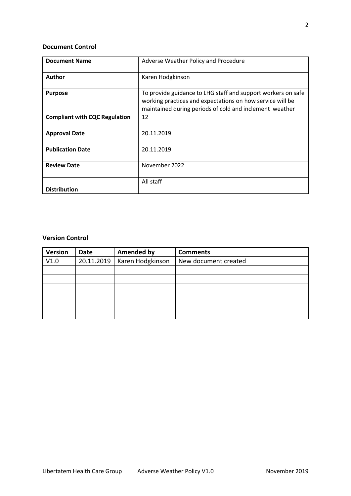# **Document Control**

| <b>Document Name</b>                 | Adverse Weather Policy and Procedure                                                                                                                                                 |  |  |
|--------------------------------------|--------------------------------------------------------------------------------------------------------------------------------------------------------------------------------------|--|--|
| Author                               | Karen Hodgkinson                                                                                                                                                                     |  |  |
| <b>Purpose</b>                       | To provide guidance to LHG staff and support workers on safe<br>working practices and expectations on how service will be<br>maintained during periods of cold and inclement weather |  |  |
| <b>Compliant with CQC Regulation</b> | 12                                                                                                                                                                                   |  |  |
| <b>Approval Date</b>                 | 20.11.2019                                                                                                                                                                           |  |  |
| <b>Publication Date</b>              | 20.11.2019                                                                                                                                                                           |  |  |
| <b>Review Date</b>                   | November 2022                                                                                                                                                                        |  |  |
| <b>Distribution</b>                  | All staff                                                                                                                                                                            |  |  |

# **Version Control**

| <b>Version</b> | Date       | <b>Amended by</b> | <b>Comments</b>      |
|----------------|------------|-------------------|----------------------|
| V1.0           | 20.11.2019 | Karen Hodgkinson  | New document created |
|                |            |                   |                      |
|                |            |                   |                      |
|                |            |                   |                      |
|                |            |                   |                      |
|                |            |                   |                      |
|                |            |                   |                      |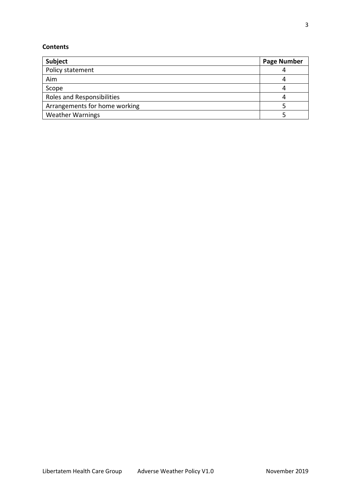# **Contents**

| Subject                       | <b>Page Number</b> |
|-------------------------------|--------------------|
| Policy statement              |                    |
| Aim                           |                    |
| Scope                         |                    |
| Roles and Responsibilities    |                    |
| Arrangements for home working |                    |
| <b>Weather Warnings</b>       |                    |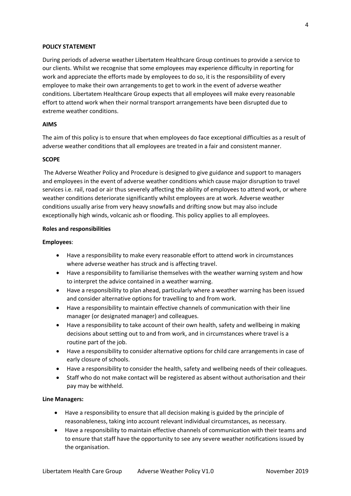#### **POLICY STATEMENT**

During periods of adverse weather Libertatem Healthcare Group continues to provide a service to our clients. Whilst we recognise that some employees may experience difficulty in reporting for work and appreciate the efforts made by employees to do so, it is the responsibility of every employee to make their own arrangements to get to work in the event of adverse weather conditions. Libertatem Healthcare Group expects that all employees will make every reasonable effort to attend work when their normal transport arrangements have been disrupted due to extreme weather conditions.

#### **AIMS**

The aim of this policy is to ensure that when employees do face exceptional difficulties as a result of adverse weather conditions that all employees are treated in a fair and consistent manner.

#### **SCOPE**

The Adverse Weather Policy and Procedure is designed to give guidance and support to managers and employees in the event of adverse weather conditions which cause major disruption to travel services i.e. rail, road or air thus severely affecting the ability of employees to attend work, or where weather conditions deteriorate significantly whilst employees are at work. Adverse weather conditions usually arise from very heavy snowfalls and drifting snow but may also include exceptionally high winds, volcanic ash or flooding. This policy applies to all employees.

#### **Roles and responsibilities**

#### **Employees**:

- Have a responsibility to make every reasonable effort to attend work in circumstances where adverse weather has struck and is affecting travel.
- Have a responsibility to familiarise themselves with the weather warning system and how to interpret the advice contained in a weather warning.
- Have a responsibility to plan ahead, particularly where a weather warning has been issued and consider alternative options for travelling to and from work.
- Have a responsibility to maintain effective channels of communication with their line manager (or designated manager) and colleagues.
- Have a responsibility to take account of their own health, safety and wellbeing in making decisions about setting out to and from work, and in circumstances where travel is a routine part of the job.
- Have a responsibility to consider alternative options for child care arrangements in case of early closure of schools.
- Have a responsibility to consider the health, safety and wellbeing needs of their colleagues.
- Staff who do not make contact will be registered as absent without authorisation and their pay may be withheld.

#### **Line Managers:**

- Have a responsibility to ensure that all decision making is guided by the principle of reasonableness, taking into account relevant individual circumstances, as necessary.
- Have a responsibility to maintain effective channels of communication with their teams and to ensure that staff have the opportunity to see any severe weather notifications issued by the organisation.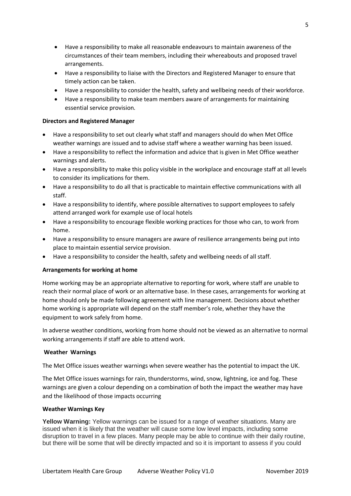- Have a responsibility to make all reasonable endeavours to maintain awareness of the circumstances of their team members, including their whereabouts and proposed travel arrangements.
- Have a responsibility to liaise with the Directors and Registered Manager to ensure that timely action can be taken.
- Have a responsibility to consider the health, safety and wellbeing needs of their workforce.
- Have a responsibility to make team members aware of arrangements for maintaining essential service provision.

# **Directors and Registered Manager**

- Have a responsibility to set out clearly what staff and managers should do when Met Office weather warnings are issued and to advise staff where a weather warning has been issued.
- Have a responsibility to reflect the information and advice that is given in Met Office weather warnings and alerts.
- Have a responsibility to make this policy visible in the workplace and encourage staff at all levels to consider its implications for them.
- Have a responsibility to do all that is practicable to maintain effective communications with all staff.
- Have a responsibility to identify, where possible alternatives to support employees to safely attend arranged work for example use of local hotels
- Have a responsibility to encourage flexible working practices for those who can, to work from home.
- Have a responsibility to ensure managers are aware of resilience arrangements being put into place to maintain essential service provision.
- Have a responsibility to consider the health, safety and wellbeing needs of all staff.

# **Arrangements for working at home**

Home working may be an appropriate alternative to reporting for work, where staff are unable to reach their normal place of work or an alternative base. In these cases, arrangements for working at home should only be made following agreement with line management. Decisions about whether home working is appropriate will depend on the staff member's role, whether they have the equipment to work safely from home.

In adverse weather conditions, working from home should not be viewed as an alternative to normal working arrangements if staff are able to attend work.

## **Weather Warnings**

The Met Office issues weather warnings when severe weather has the potential to impact the UK.

The Met Office issues warnings for rain, thunderstorms, wind, snow, lightning, ice and fog. These warnings are given a colour depending on a combination of both the impact the weather may have and the likelihood of those impacts occurring

## **Weather Warnings Key**

**Yellow Warning:** Yellow warnings can be issued for a range of weather situations. Many are issued when it is likely that the weather will cause some low level impacts, including some disruption to travel in a few places. Many people may be able to continue with their daily routine, but there will be some that will be directly impacted and so it is important to assess if you could